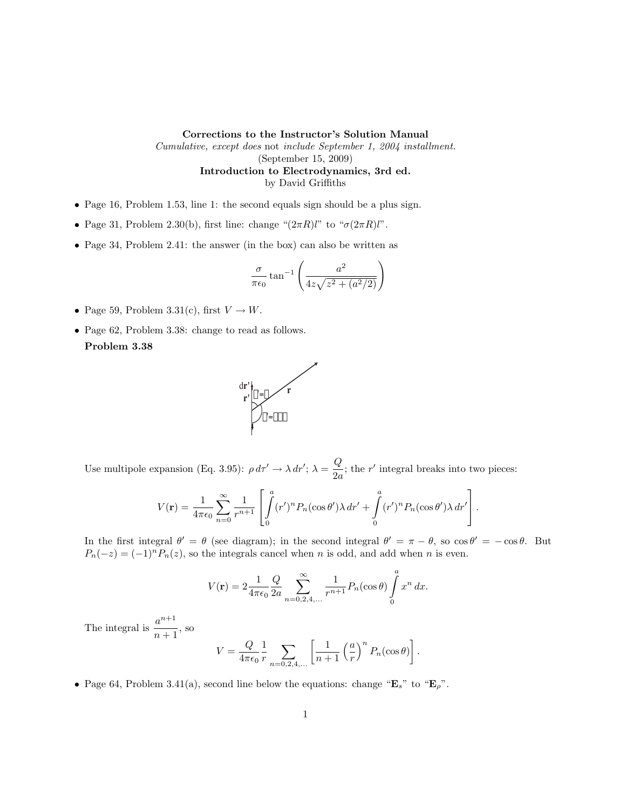Corrections to the Instructor's Solution Manual

Cumulative, except does not include September 1, 2004 installment. (September 15, 2009) Introduction to Electrodynamics, 3rd ed. by David Griffiths

- Page 16, Problem 1.53, line 1: the second equals sign should be a plus sign.
- Page 31, Problem 2.30(b), first line: change " $(2\pi R)l$ " to " $\sigma(2\pi R)l$ ".
- Page 34, Problem 2.41: the answer (in the box) can also be written as

$$
\frac{\sigma}{\pi\epsilon_0} \tan^{-1} \left( \frac{a^2}{4z\sqrt{z^2 + (a^2/2)}} \right)
$$

- Page 59, Problem 3.31(c), first  $V \to W$ .
- Page 62, Problem 3.38: change to read as follows. Problem 3.38



Use multipole expansion (Eq. 3.95):  $\rho d\tau' \rightarrow \lambda dr'; \lambda = \frac{Q}{2}$  $\frac{Q}{2a}$ ; the r' integral breaks into two pieces:

$$
V(\mathbf{r}) = \frac{1}{4\pi\epsilon_0} \sum_{n=0}^{\infty} \frac{1}{r^{n+1}} \left[ \int_0^a (r')^n P_n(\cos\theta') \lambda \, dr' + \int_0^a (r')^n P_n(\cos\theta') \lambda \, dr' \right].
$$

In the first integral  $\theta' = \theta$  (see diagram); in the second integral  $\theta' = \pi - \theta$ , so  $\cos \theta' = -\cos \theta$ . But  $P_n(-z) = (-1)^n P_n(z)$ , so the integrals cancel when n is odd, and add when n is even.

$$
V(\mathbf{r}) = 2 \frac{1}{4\pi\epsilon_0} \frac{Q}{2a} \sum_{n=0,2,4,...}^{\infty} \frac{1}{r^{n+1}} P_n(\cos \theta) \int_{0}^{a} x^n dx.
$$

The integral is  $\frac{a^{n+1}}{a}$  $\frac{a}{n+1}$ , so

$$
V = \frac{Q}{4\pi\epsilon_0} \frac{1}{r} \sum_{n=0,2,4,...} \left[ \frac{1}{n+1} \left( \frac{a}{r} \right)^n P_n(\cos\theta) \right].
$$

• Page 64, Problem 3.41(a), second line below the equations: change  $\mathbf{E}_s$ " to  $\mathbf{E}_p$ ".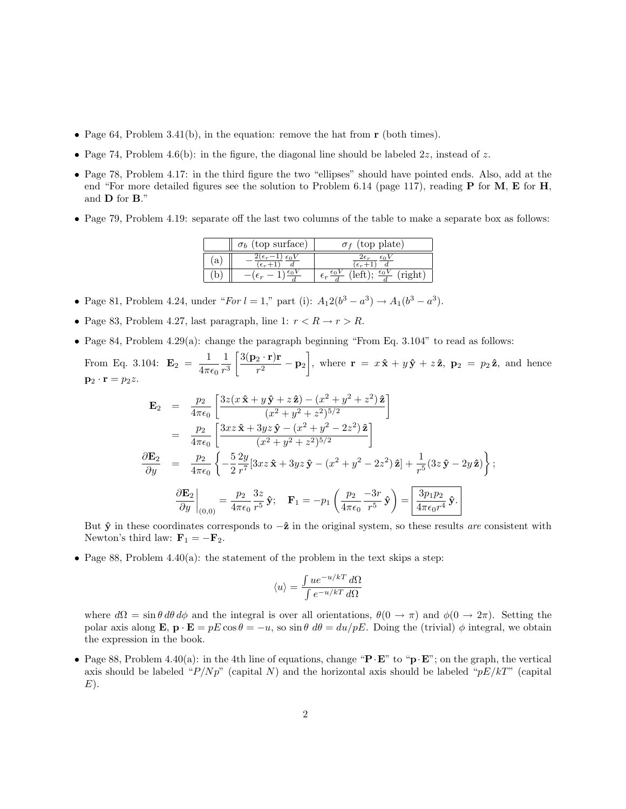- Page 64, Problem 3.41(b), in the equation: remove the hat from  $\mathbf r$  (both times).
- Page 74, Problem 4.6(b): in the figure, the diagonal line should be labeled  $2z$ , instead of z.
- Page 78, Problem 4.17: in the third figure the two "ellipses" should have pointed ends. Also, add at the end "For more detailed figures see the solution to Problem 6.14 (page 117), reading **P** for **M**, **E** for **H**, and D for B."
- Page 79, Problem 4.19: separate off the last two columns of the table to make a separate box as follows:

|              | (top surface)<br>$\sigma_b$                       | (top plate)    |
|--------------|---------------------------------------------------|----------------|
| $\mathbf{a}$ | $4\epsilon_r$ –<br>$\epsilon_0$<br>$\epsilon_r$ - | $\epsilon_r$ . |
| b            |                                                   | $E_{\bm{r}}$   |

- Page 81, Problem 4.24, under "For  $l = 1$ ," part (i):  $A_1 2(b^3 a^3) \rightarrow A_1 (b^3 a^3)$ .
- Page 83, Problem 4.27, last paragraph, line 1:  $r < R \rightarrow r > R$ .
- Page 84, Problem 4.29(a): change the paragraph beginning "From Eq. 3.104" to read as follows:
- From Eq. 3.104:  $\mathbf{E}_2 = \frac{1}{4\pi}$  $4\pi\epsilon_0$ 1  $r^3$  $\int 3(\mathbf{p}_2 \cdot \mathbf{r}) \mathbf{r}$  $\frac{(2 \cdot \mathbf{r})\mathbf{r}}{r^2} - \mathbf{p}_2$ , where  $\mathbf{r} = x\hat{\mathbf{x}} + y\hat{\mathbf{y}} + z\hat{\mathbf{z}}$ ,  $\mathbf{p}_2 = p_2\hat{\mathbf{z}}$ , and hence  $\mathbf{p}_2 \cdot \mathbf{r} = p_2 z.$

$$
\mathbf{E}_2 = \frac{p_2}{4\pi\epsilon_0} \left[ \frac{3z(x\,\hat{\mathbf{x}} + y\,\hat{\mathbf{y}} + z\,\hat{\mathbf{z}}) - (x^2 + y^2 + z^2)\,\hat{\mathbf{z}}}{(x^2 + y^2 + z^2)^{5/2}} \right]
$$
\n
$$
= \frac{p_2}{4\pi\epsilon_0} \left[ \frac{3xz\,\hat{\mathbf{x}} + 3yz\,\hat{\mathbf{y}} - (x^2 + y^2 - 2z^2)\,\hat{\mathbf{z}}}{(x^2 + y^2 + z^2)^{5/2}} \right]
$$
\n
$$
\frac{\partial \mathbf{E}_2}{\partial y} = \frac{p_2}{4\pi\epsilon_0} \left\{ -\frac{5}{2} \frac{2y}{r^7} [3xz\,\hat{\mathbf{x}} + 3yz\,\hat{\mathbf{y}} - (x^2 + y^2 - 2z^2)\,\hat{\mathbf{z}}] + \frac{1}{r^5} (3z\,\hat{\mathbf{y}} - 2y\,\hat{\mathbf{z}}) \right\};
$$
\n
$$
\frac{\partial \mathbf{E}_2}{\partial y} \bigg|_{(0,0)} = \frac{p_2}{4\pi\epsilon_0} \frac{3z}{r^5} \,\hat{\mathbf{y}}; \quad \mathbf{F}_1 = -p_1 \left( \frac{p_2}{4\pi\epsilon_0} \frac{-3r}{r^5} \,\hat{\mathbf{y}} \right) = \boxed{\frac{3p_1p_2}{4\pi\epsilon_0 r^4} \,\hat{\mathbf{y}}}.
$$

But  $\hat{y}$  in these coordinates corresponds to  $-\hat{z}$  in the original system, so these results are consistent with Newton's third law:  $\mathbf{F}_1 = -\mathbf{F}_2$ .

• Page 88, Problem 4.40(a): the statement of the problem in the text skips a step:

$$
\langle u \rangle = \frac{\int u e^{-u/kT} d\Omega}{\int e^{-u/kT} d\Omega}
$$

where  $d\Omega = \sin \theta d\theta d\phi$  and the integral is over all orientations,  $\theta(0 \to \pi)$  and  $\phi(0 \to 2\pi)$ . Setting the polar axis along **E**,  $\mathbf{p} \cdot \mathbf{E} = pE \cos \theta = -u$ , so  $\sin \theta \, d\theta = du/pE$ . Doing the (trivial)  $\phi$  integral, we obtain the expression in the book.

• Page 88, Problem 4.40(a): in the 4th line of equations, change " $\mathbf{P} \cdot \mathbf{E}$ " to " $\mathbf{p} \cdot \mathbf{E}$ "; on the graph, the vertical axis should be labeled " $P/Np$ " (capital N) and the horizontal axis should be labeled " $pE/kT$ " (capital  $E$ ).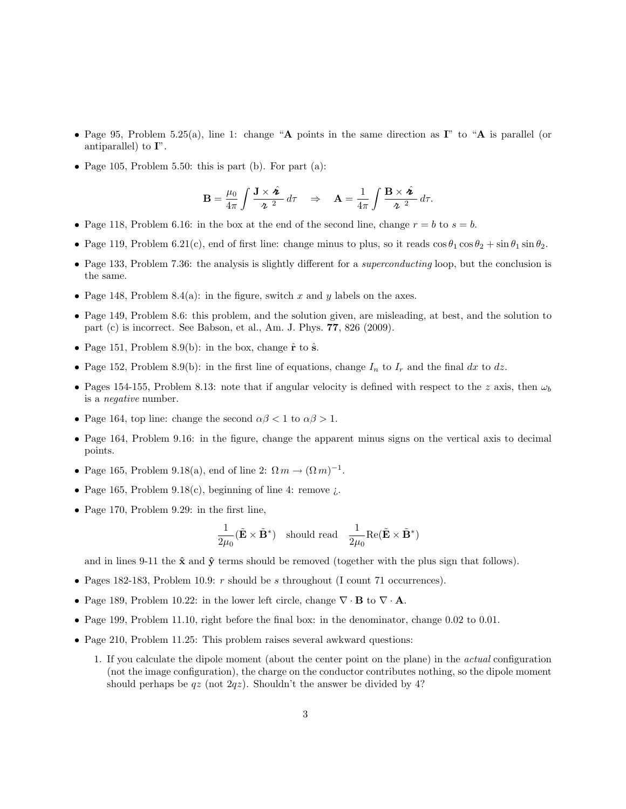- Page 95, Problem 5.25(a), line 1: change "A points in the same direction as  $I''$  to "A is parallel (or antiparallel) to  $\mathbf{I}^n$ .
- Page 105, Problem 5.50: this is part (b). For part (a):

$$
\mathbf{B} = \frac{\mu_0}{4\pi} \int \frac{\mathbf{J} \times \hat{\mathbf{z}}}{\mathbf{z}^2} d\tau \quad \Rightarrow \quad \mathbf{A} = \frac{1}{4\pi} \int \frac{\mathbf{B} \times \hat{\mathbf{z}}}{\mathbf{z}^2} d\tau.
$$

- Page 118, Problem 6.16: in the box at the end of the second line, change  $r = b$  to  $s = b$ .
- Page 119, Problem 6.21(c), end of first line: change minus to plus, so it reads  $\cos \theta_1 \cos \theta_2 + \sin \theta_1 \sin \theta_2$ .
- Page 133, Problem 7.36: the analysis is slightly different for a *superconducting* loop, but the conclusion is the same.
- Page 148, Problem 8.4(a): in the figure, switch x and y labels on the axes.
- Page 149, Problem 8.6: this problem, and the solution given, are misleading, at best, and the solution to part (c) is incorrect. See Babson, et al., Am. J. Phys. 77, 826 (2009).
- Page 151, Problem 8.9(b): in the box, change  $\hat{\mathbf{r}}$  to  $\hat{\mathbf{s}}$ .
- Page 152, Problem 8.9(b): in the first line of equations, change  $I_n$  to  $I_r$  and the final dx to dz.
- Pages 154-155, Problem 8.13: note that if angular velocity is defined with respect to the z axis, then  $\omega_b$ is a negative number.
- Page 164, top line: change the second  $\alpha\beta < 1$  to  $\alpha\beta > 1$ .
- Page 164, Problem 9.16: in the figure, change the apparent minus signs on the vertical axis to decimal points.
- Page 165, Problem 9.18(a), end of line 2:  $\Omega m \rightarrow (\Omega m)^{-1}$ .
- Page 165, Problem 9.18(c), beginning of line 4: remove  $\lambda$ .
- Page 170, Problem 9.29: in the first line,

$$
\frac{1}{2\mu_0}(\tilde{\mathbf{E}}\times\tilde{\mathbf{B}}^*) \quad \text{should read} \quad \frac{1}{2\mu_0}\text{Re}(\tilde{\mathbf{E}}\times\tilde{\mathbf{B}}^*)
$$

and in lines 9-11 the  $\hat{\mathbf{x}}$  and  $\hat{\mathbf{y}}$  terms should be removed (together with the plus sign that follows).

- Pages 182-183, Problem 10.9:  $r$  should be  $s$  throughout (I count 71 occurrences).
- Page 189, Problem 10.22: in the lower left circle, change  $\nabla \cdot \mathbf{B}$  to  $\nabla \cdot \mathbf{A}$ .
- Page 199, Problem 11.10, right before the final box: in the denominator, change 0.02 to 0.01.
- Page 210, Problem 11.25: This problem raises several awkward questions:
	- 1. If you calculate the dipole moment (about the center point on the plane) in the actual configuration (not the image configuration), the charge on the conductor contributes nothing, so the dipole moment should perhaps be  $qz$  (not  $2qz$ ). Shouldn't the answer be divided by 4?